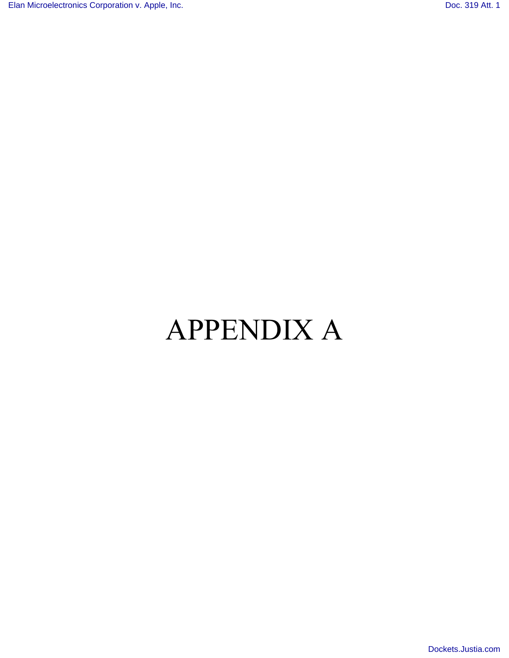# APPENDIX A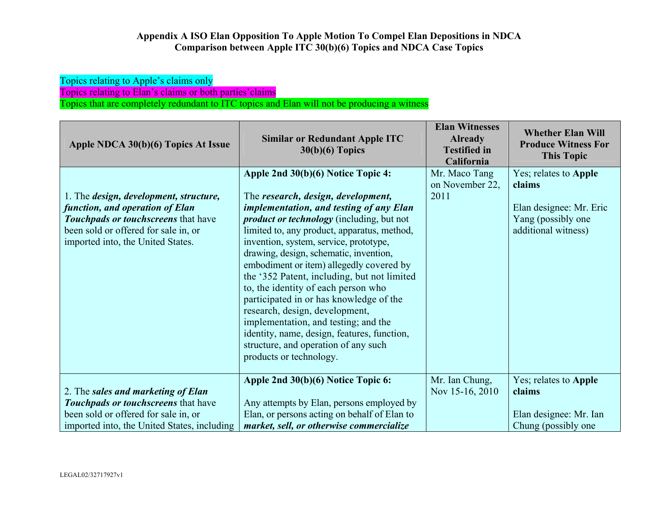Topics relating to Apple's claims only Topics relating to Elan's claims or both parties'claims

Topics that are completely redundant to ITC topics and Elan will not be producing a witness

| Apple NDCA 30(b)(6) Topics At Issue                                                                                                                                                           | <b>Similar or Redundant Apple ITC</b><br>$30(b)(6)$ Topics                                                                                                                                                                                                                                                                                                                                                                                                                                                                                                                                                                                                                          | <b>Elan Witnesses</b><br><b>Already</b><br><b>Testified in</b><br>California | <b>Whether Elan Will</b><br><b>Produce Witness For</b><br><b>This Topic</b>                             |
|-----------------------------------------------------------------------------------------------------------------------------------------------------------------------------------------------|-------------------------------------------------------------------------------------------------------------------------------------------------------------------------------------------------------------------------------------------------------------------------------------------------------------------------------------------------------------------------------------------------------------------------------------------------------------------------------------------------------------------------------------------------------------------------------------------------------------------------------------------------------------------------------------|------------------------------------------------------------------------------|---------------------------------------------------------------------------------------------------------|
| 1. The design, development, structure,<br>function, and operation of Elan<br>Touchpads or touchscreens that have<br>been sold or offered for sale in, or<br>imported into, the United States. | Apple 2nd 30(b)(6) Notice Topic 4:<br>The research, design, development,<br>implementation, and testing of any Elan<br><i>product or technology</i> (including, but not<br>limited to, any product, apparatus, method,<br>invention, system, service, prototype,<br>drawing, design, schematic, invention,<br>embodiment or item) allegedly covered by<br>the '352 Patent, including, but not limited<br>to, the identity of each person who<br>participated in or has knowledge of the<br>research, design, development,<br>implementation, and testing; and the<br>identity, name, design, features, function,<br>structure, and operation of any such<br>products or technology. | Mr. Maco Tang<br>on November 22,<br>2011                                     | Yes; relates to Apple<br>claims<br>Elan designee: Mr. Eric<br>Yang (possibly one<br>additional witness) |
| 2. The sales and marketing of Elan<br>Touchpads or touchscreens that have<br>been sold or offered for sale in, or<br>imported into, the United States, including                              | Apple 2nd 30(b)(6) Notice Topic 6:<br>Any attempts by Elan, persons employed by<br>Elan, or persons acting on behalf of Elan to<br>market, sell, or otherwise commercialize                                                                                                                                                                                                                                                                                                                                                                                                                                                                                                         | Mr. Ian Chung,<br>Nov 15-16, 2010                                            | Yes; relates to Apple<br>claims<br>Elan designee: Mr. Ian<br>Chung (possibly one)                       |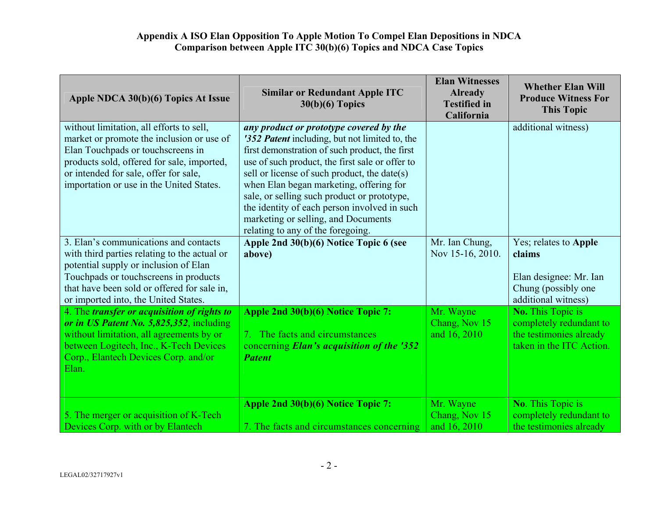| Apple NDCA 30(b)(6) Topics At Issue                                                                                                                                                                                                                            | <b>Similar or Redundant Apple ITC</b><br>$30(b)(6)$ Topics                                                                                                                                                                                                                                                                                                                                                                                                           | <b>Elan Witnesses</b><br><b>Already</b><br><b>Testified</b> in<br>California | <b>Whether Elan Will</b><br><b>Produce Witness For</b><br><b>This Topic</b>                                |
|----------------------------------------------------------------------------------------------------------------------------------------------------------------------------------------------------------------------------------------------------------------|----------------------------------------------------------------------------------------------------------------------------------------------------------------------------------------------------------------------------------------------------------------------------------------------------------------------------------------------------------------------------------------------------------------------------------------------------------------------|------------------------------------------------------------------------------|------------------------------------------------------------------------------------------------------------|
| without limitation, all efforts to sell,<br>market or promote the inclusion or use of<br>Elan Touchpads or touchscreens in<br>products sold, offered for sale, imported,<br>or intended for sale, offer for sale,<br>importation or use in the United States.  | any product or prototype covered by the<br>'352 Patent including, but not limited to, the<br>first demonstration of such product, the first<br>use of such product, the first sale or offer to<br>sell or license of such product, the date(s)<br>when Elan began marketing, offering for<br>sale, or selling such product or prototype,<br>the identity of each person involved in such<br>marketing or selling, and Documents<br>relating to any of the foregoing. |                                                                              | additional witness)                                                                                        |
| 3. Elan's communications and contacts<br>with third parties relating to the actual or<br>potential supply or inclusion of Elan<br>Touchpads or touchscreens in products<br>that have been sold or offered for sale in,<br>or imported into, the United States. | Apple 2nd 30(b)(6) Notice Topic 6 (see<br>above)                                                                                                                                                                                                                                                                                                                                                                                                                     | Mr. Ian Chung,<br>Nov 15-16, 2010.                                           | Yes; relates to Apple<br>claims<br>Elan designee: Mr. Ian<br>Chung (possibly one<br>additional witness)    |
| 4. The transfer or acquisition of rights to<br>or in US Patent No. 5,825,352, including<br>without limitation, all agreements by or<br>between Logitech, Inc., K-Tech Devices<br>Corp., Elantech Devices Corp. and/or<br>Elan.                                 | Apple 2nd 30(b)(6) Notice Topic 7:<br>7. The facts and circumstances<br>concerning Elan's acquisition of the '352<br><b>Patent</b>                                                                                                                                                                                                                                                                                                                                   | Mr. Wayne<br>Chang, Nov 15<br>and 16, 2010                                   | <b>No.</b> This Topic is<br>completely redundant to<br>the testimonies already<br>taken in the ITC Action. |
| 5. The merger or acquisition of K-Tech<br>Devices Corp. with or by Elantech                                                                                                                                                                                    | Apple 2nd 30(b)(6) Notice Topic 7:<br>7. The facts and circumstances concerning                                                                                                                                                                                                                                                                                                                                                                                      | Mr. Wayne<br>Chang, Nov 15<br>and 16, 2010                                   | No. This Topic is<br>completely redundant to<br>the testimonies already                                    |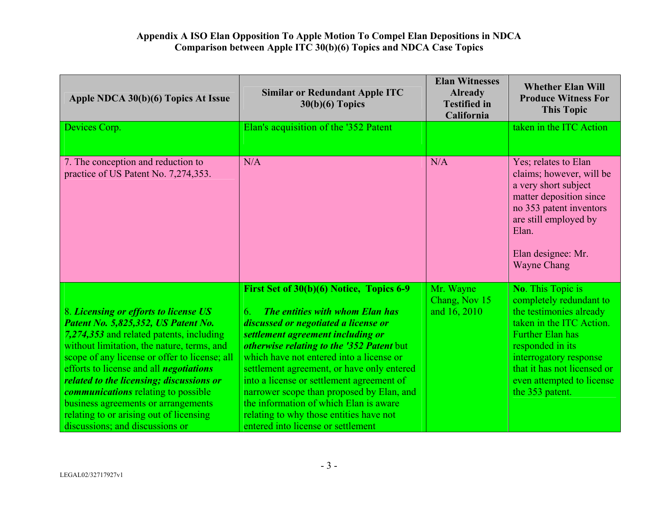| Apple NDCA 30(b)(6) Topics At Issue                                                                                                                                                                                                                                                                                                                                                                                                                                                      | <b>Similar or Redundant Apple ITC</b><br>$30(b)(6)$ Topics                                                                                                                                                                                                                                                                                                                                                                                                                                                                 | <b>Elan Witnesses</b><br><b>Already</b><br><b>Testified in</b><br>California | <b>Whether Elan Will</b><br><b>Produce Witness For</b><br><b>This Topic</b>                                                                                                                                                                                        |
|------------------------------------------------------------------------------------------------------------------------------------------------------------------------------------------------------------------------------------------------------------------------------------------------------------------------------------------------------------------------------------------------------------------------------------------------------------------------------------------|----------------------------------------------------------------------------------------------------------------------------------------------------------------------------------------------------------------------------------------------------------------------------------------------------------------------------------------------------------------------------------------------------------------------------------------------------------------------------------------------------------------------------|------------------------------------------------------------------------------|--------------------------------------------------------------------------------------------------------------------------------------------------------------------------------------------------------------------------------------------------------------------|
| Devices Corp.                                                                                                                                                                                                                                                                                                                                                                                                                                                                            | Elan's acquisition of the '352 Patent                                                                                                                                                                                                                                                                                                                                                                                                                                                                                      |                                                                              | taken in the ITC Action                                                                                                                                                                                                                                            |
| 7. The conception and reduction to<br>practice of US Patent No. 7,274,353.                                                                                                                                                                                                                                                                                                                                                                                                               | N/A                                                                                                                                                                                                                                                                                                                                                                                                                                                                                                                        | N/A                                                                          | Yes; relates to Elan<br>claims; however, will be<br>a very short subject<br>matter deposition since<br>no 353 patent inventors<br>are still employed by<br>Elan.<br>Elan designee: Mr.<br><b>Wayne Chang</b>                                                       |
| 8. Licensing or efforts to license US<br>Patent No. 5,825,352, US Patent No.<br>7,274,353 and related patents, including<br>without limitation, the nature, terms, and<br>scope of any license or offer to license; all<br>efforts to license and all <i>negotiations</i><br>related to the licensing; discussions or<br><i>communications</i> relating to possible<br>business agreements or arrangements<br>relating to or arising out of licensing<br>discussions; and discussions or | First Set of 30(b)(6) Notice, Topics 6-9<br>The entities with whom Elan has<br>6.<br>discussed or negotiated a license or<br>settlement agreement including or<br>otherwise relating to the '352 Patent but<br>which have not entered into a license or<br>settlement agreement, or have only entered<br>into a license or settlement agreement of<br>narrower scope than proposed by Elan, and<br>the information of which Elan is aware<br>relating to why those entities have not<br>entered into license or settlement | Mr. Wayne<br>Chang, Nov 15<br>and 16, 2010                                   | <b>No.</b> This Topic is<br>completely redundant to<br>the testimonies already<br>taken in the ITC Action.<br><b>Further Elan has</b><br>responded in its<br>interrogatory response<br>that it has not licensed or<br>even attempted to license<br>the 353 patent. |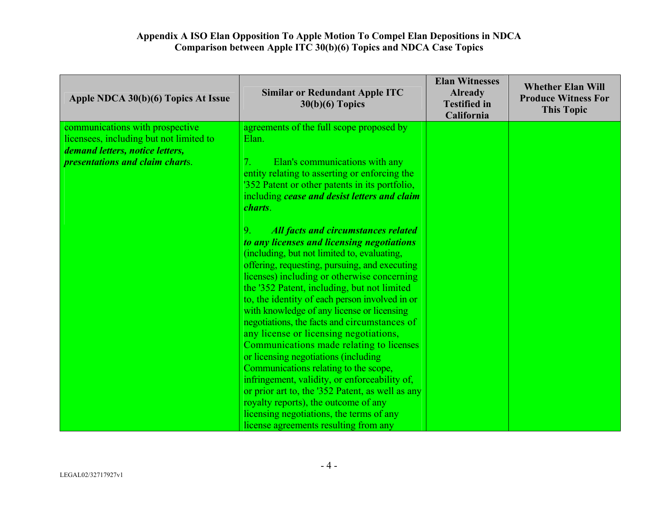| Apple NDCA 30(b)(6) Topics At Issue           | <b>Similar or Redundant Apple ITC</b><br>$30(b)(6)$ Topics                                                                                                                                                                                                                                                                                                                                                                                                                                                                                                                                                                                                                                                                                                                                                                                                        | <b>Elan Witnesses</b><br><b>Already</b><br><b>Testified in</b><br>California | <b>Whether Elan Will</b><br><b>Produce Witness For</b><br><b>This Topic</b> |
|-----------------------------------------------|-------------------------------------------------------------------------------------------------------------------------------------------------------------------------------------------------------------------------------------------------------------------------------------------------------------------------------------------------------------------------------------------------------------------------------------------------------------------------------------------------------------------------------------------------------------------------------------------------------------------------------------------------------------------------------------------------------------------------------------------------------------------------------------------------------------------------------------------------------------------|------------------------------------------------------------------------------|-----------------------------------------------------------------------------|
| communications with prospective               | agreements of the full scope proposed by                                                                                                                                                                                                                                                                                                                                                                                                                                                                                                                                                                                                                                                                                                                                                                                                                          |                                                                              |                                                                             |
| licensees, including but not limited to       | Elan.                                                                                                                                                                                                                                                                                                                                                                                                                                                                                                                                                                                                                                                                                                                                                                                                                                                             |                                                                              |                                                                             |
| demand letters, notice letters,               |                                                                                                                                                                                                                                                                                                                                                                                                                                                                                                                                                                                                                                                                                                                                                                                                                                                                   |                                                                              |                                                                             |
| <i><b>presentations and claim charts.</b></i> | Elan's communications with any<br>$7_{\scriptscriptstyle{\star}}$                                                                                                                                                                                                                                                                                                                                                                                                                                                                                                                                                                                                                                                                                                                                                                                                 |                                                                              |                                                                             |
|                                               | entity relating to asserting or enforcing the                                                                                                                                                                                                                                                                                                                                                                                                                                                                                                                                                                                                                                                                                                                                                                                                                     |                                                                              |                                                                             |
|                                               | '352 Patent or other patents in its portfolio,                                                                                                                                                                                                                                                                                                                                                                                                                                                                                                                                                                                                                                                                                                                                                                                                                    |                                                                              |                                                                             |
|                                               | including cease and desist letters and claim                                                                                                                                                                                                                                                                                                                                                                                                                                                                                                                                                                                                                                                                                                                                                                                                                      |                                                                              |                                                                             |
|                                               | charts.                                                                                                                                                                                                                                                                                                                                                                                                                                                                                                                                                                                                                                                                                                                                                                                                                                                           |                                                                              |                                                                             |
|                                               | 9 <sub>1</sub><br><b>All facts and circumstances related</b><br>to any licenses and licensing negotiations<br>(including, but not limited to, evaluating,<br>offering, requesting, pursuing, and executing<br>licenses) including or otherwise concerning<br>the '352 Patent, including, but not limited<br>to, the identity of each person involved in or<br>with knowledge of any license or licensing<br>negotiations, the facts and circumstances of<br>any license or licensing negotiations,<br>Communications made relating to licenses<br>or licensing negotiations (including<br>Communications relating to the scope,<br>infringement, validity, or enforceability of,<br>or prior art to, the '352 Patent, as well as any<br>royalty reports), the outcome of any<br>licensing negotiations, the terms of any<br>license agreements resulting from any |                                                                              |                                                                             |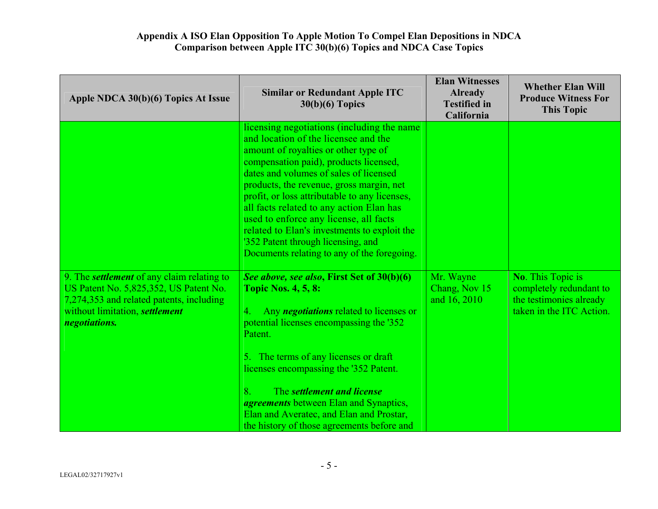| Apple NDCA 30(b)(6) Topics At Issue                                                                                                                                                        | <b>Similar or Redundant Apple ITC</b><br>$30(b)(6)$ Topics                                                                                                                                                                                                                                                                                                                                                                                                                                                                             | <b>Elan Witnesses</b><br><b>Already</b><br><b>Testified in</b><br>California | <b>Whether Elan Will</b><br><b>Produce Witness For</b><br><b>This Topic</b>                                |
|--------------------------------------------------------------------------------------------------------------------------------------------------------------------------------------------|----------------------------------------------------------------------------------------------------------------------------------------------------------------------------------------------------------------------------------------------------------------------------------------------------------------------------------------------------------------------------------------------------------------------------------------------------------------------------------------------------------------------------------------|------------------------------------------------------------------------------|------------------------------------------------------------------------------------------------------------|
|                                                                                                                                                                                            | licensing negotiations (including the name<br>and location of the licensee and the<br>amount of royalties or other type of<br>compensation paid), products licensed,<br>dates and volumes of sales of licensed<br>products, the revenue, gross margin, net<br>profit, or loss attributable to any licenses,<br>all facts related to any action Elan has<br>used to enforce any license, all facts<br>related to Elan's investments to exploit the<br>'352 Patent through licensing, and<br>Documents relating to any of the foregoing. |                                                                              |                                                                                                            |
| 9. The <i>settlement</i> of any claim relating to<br>US Patent No. 5,825,352, US Patent No.<br>7,274,353 and related patents, including<br>without limitation, settlement<br>negotiations. | See above, see also, First Set of 30(b)(6)<br><b>Topic Nos. 4, 5, 8:</b><br>Any <i>negotiations</i> related to licenses or<br>4.<br>potential licenses encompassing the '352<br>Patent.<br>5. The terms of any licenses or draft<br>licenses encompassing the '352 Patent.<br>8.<br>The settlement and license<br><i>agreements</i> between Elan and Synaptics,<br>Elan and Averatec, and Elan and Prostar,<br>the history of those agreements before and                                                                              | Mr. Wayne<br>Chang, Nov 15<br>and 16, 2010                                   | <b>No.</b> This Topic is<br>completely redundant to<br>the testimonies already<br>taken in the ITC Action. |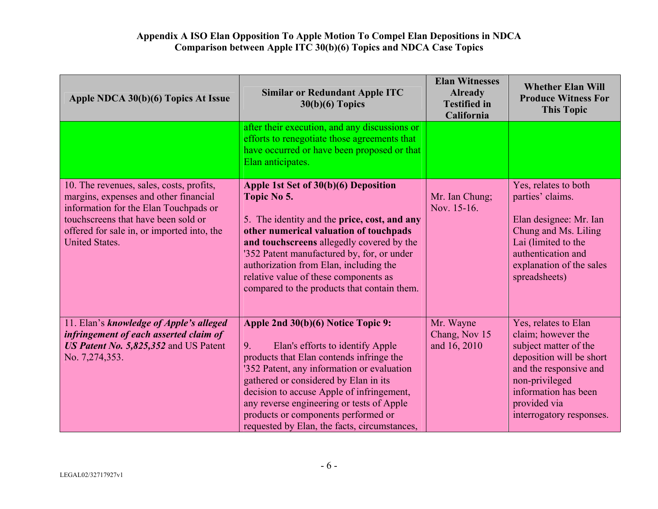| Apple NDCA 30(b)(6) Topics At Issue                                                                                                                                                                                                      | <b>Similar or Redundant Apple ITC</b><br>$30(b)(6)$ Topics                                                                                                                                                                                                                                                                                                                                       | <b>Elan Witnesses</b><br><b>Already</b><br><b>Testified in</b><br>California | <b>Whether Elan Will</b><br><b>Produce Witness For</b><br><b>This Topic</b>                                                                                                                                     |
|------------------------------------------------------------------------------------------------------------------------------------------------------------------------------------------------------------------------------------------|--------------------------------------------------------------------------------------------------------------------------------------------------------------------------------------------------------------------------------------------------------------------------------------------------------------------------------------------------------------------------------------------------|------------------------------------------------------------------------------|-----------------------------------------------------------------------------------------------------------------------------------------------------------------------------------------------------------------|
|                                                                                                                                                                                                                                          | after their execution, and any discussions or<br>efforts to renegotiate those agreements that<br>have occurred or have been proposed or that<br>Elan anticipates.                                                                                                                                                                                                                                |                                                                              |                                                                                                                                                                                                                 |
| 10. The revenues, sales, costs, profits,<br>margins, expenses and other financial<br>information for the Elan Touchpads or<br>touchscreens that have been sold or<br>offered for sale in, or imported into, the<br><b>United States.</b> | Apple 1st Set of 30(b)(6) Deposition<br>Topic No 5.<br>5. The identity and the price, cost, and any<br>other numerical valuation of touchpads<br>and touchscreens allegedly covered by the<br>'352 Patent manufactured by, for, or under<br>authorization from Elan, including the<br>relative value of these components as<br>compared to the products that contain them.                       | Mr. Ian Chung;<br>Nov. 15-16.                                                | Yes, relates to both<br>parties' claims.<br>Elan designee: Mr. Ian<br>Chung and Ms. Liling<br>Lai (limited to the<br>authentication and<br>explanation of the sales<br>spreadsheets)                            |
| 11. Elan's knowledge of Apple's alleged<br>infringement of each asserted claim of<br>US Patent No. 5,825,352 and US Patent<br>No. 7,274,353.                                                                                             | Apple 2nd 30(b)(6) Notice Topic 9:<br>Elan's efforts to identify Apple<br>9.<br>products that Elan contends infringe the<br>'352 Patent, any information or evaluation<br>gathered or considered by Elan in its<br>decision to accuse Apple of infringement,<br>any reverse engineering or tests of Apple<br>products or components performed or<br>requested by Elan, the facts, circumstances, | Mr. Wayne<br>Chang, Nov 15<br>and 16, 2010                                   | Yes, relates to Elan<br>claim; however the<br>subject matter of the<br>deposition will be short<br>and the responsive and<br>non-privileged<br>information has been<br>provided via<br>interrogatory responses. |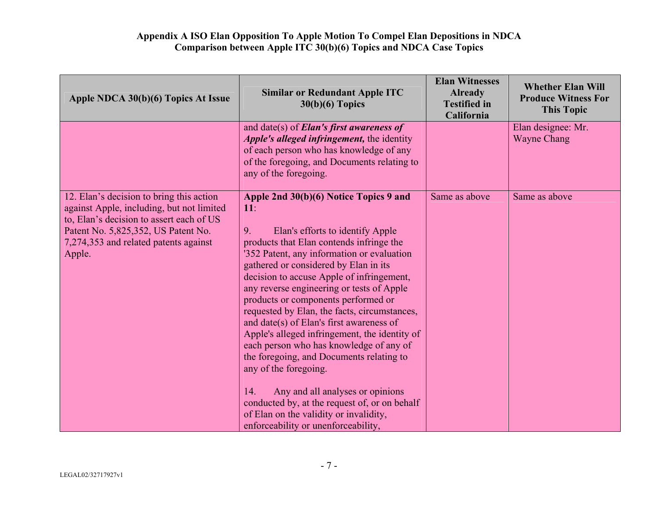| Apple NDCA 30(b)(6) Topics At Issue                                                                                                                                                                                         | <b>Similar or Redundant Apple ITC</b><br>$30(b)(6)$ Topics                                                                                                                                                                                                                                                                                                                                                                                                                                                                                                                                                                                                                                                                                                                                            | <b>Elan Witnesses</b><br><b>Already</b><br><b>Testified in</b><br>California | <b>Whether Elan Will</b><br><b>Produce Witness For</b><br><b>This Topic</b> |
|-----------------------------------------------------------------------------------------------------------------------------------------------------------------------------------------------------------------------------|-------------------------------------------------------------------------------------------------------------------------------------------------------------------------------------------------------------------------------------------------------------------------------------------------------------------------------------------------------------------------------------------------------------------------------------------------------------------------------------------------------------------------------------------------------------------------------------------------------------------------------------------------------------------------------------------------------------------------------------------------------------------------------------------------------|------------------------------------------------------------------------------|-----------------------------------------------------------------------------|
|                                                                                                                                                                                                                             | and date(s) of <b>Elan's first awareness of</b><br>Apple's alleged infringement, the identity<br>of each person who has knowledge of any<br>of the foregoing, and Documents relating to<br>any of the foregoing.                                                                                                                                                                                                                                                                                                                                                                                                                                                                                                                                                                                      |                                                                              | Elan designee: Mr.<br><b>Wayne Chang</b>                                    |
| 12. Elan's decision to bring this action<br>against Apple, including, but not limited<br>to, Elan's decision to assert each of US<br>Patent No. 5,825,352, US Patent No.<br>7,274,353 and related patents against<br>Apple. | Apple 2nd 30(b)(6) Notice Topics 9 and<br>11:<br>Elan's efforts to identify Apple<br>9.<br>products that Elan contends infringe the<br>'352 Patent, any information or evaluation<br>gathered or considered by Elan in its<br>decision to accuse Apple of infringement,<br>any reverse engineering or tests of Apple<br>products or components performed or<br>requested by Elan, the facts, circumstances,<br>and date(s) of Elan's first awareness of<br>Apple's alleged infringement, the identity of<br>each person who has knowledge of any of<br>the foregoing, and Documents relating to<br>any of the foregoing.<br>Any and all analyses or opinions<br>14.<br>conducted by, at the request of, or on behalf<br>of Elan on the validity or invalidity,<br>enforceability or unenforceability, | Same as above                                                                | Same as above                                                               |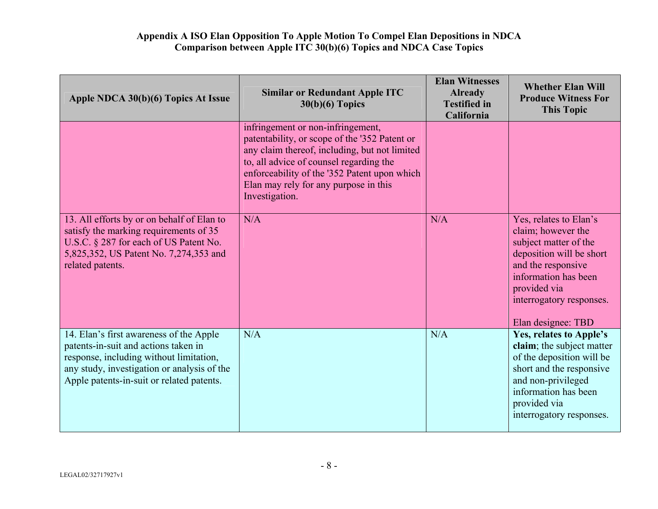| Apple NDCA 30(b)(6) Topics At Issue                                                                                                                                                                                    | <b>Similar or Redundant Apple ITC</b><br>$30(b)(6)$ Topics                                                                                                                                                                                                                                | <b>Elan Witnesses</b><br><b>Already</b><br><b>Testified in</b><br>California | <b>Whether Elan Will</b><br><b>Produce Witness For</b><br><b>This Topic</b>                                                                                                                                       |
|------------------------------------------------------------------------------------------------------------------------------------------------------------------------------------------------------------------------|-------------------------------------------------------------------------------------------------------------------------------------------------------------------------------------------------------------------------------------------------------------------------------------------|------------------------------------------------------------------------------|-------------------------------------------------------------------------------------------------------------------------------------------------------------------------------------------------------------------|
|                                                                                                                                                                                                                        | infringement or non-infringement,<br>patentability, or scope of the '352 Patent or<br>any claim thereof, including, but not limited<br>to, all advice of counsel regarding the<br>enforceability of the '352 Patent upon which<br>Elan may rely for any purpose in this<br>Investigation. |                                                                              |                                                                                                                                                                                                                   |
| 13. All efforts by or on behalf of Elan to<br>satisfy the marking requirements of 35<br>U.S.C. § 287 for each of US Patent No.<br>5,825,352, US Patent No. 7,274,353 and<br>related patents.                           | N/A                                                                                                                                                                                                                                                                                       | N/A                                                                          | Yes, relates to Elan's<br>claim; however the<br>subject matter of the<br>deposition will be short<br>and the responsive<br>information has been<br>provided via<br>interrogatory responses.<br>Elan designee: TBD |
| 14. Elan's first awareness of the Apple<br>patents-in-suit and actions taken in<br>response, including without limitation,<br>any study, investigation or analysis of the<br>Apple patents-in-suit or related patents. | N/A                                                                                                                                                                                                                                                                                       | N/A                                                                          | Yes, relates to Apple's<br>claim; the subject matter<br>of the deposition will be<br>short and the responsive<br>and non-privileged<br>information has been<br>provided via<br>interrogatory responses.           |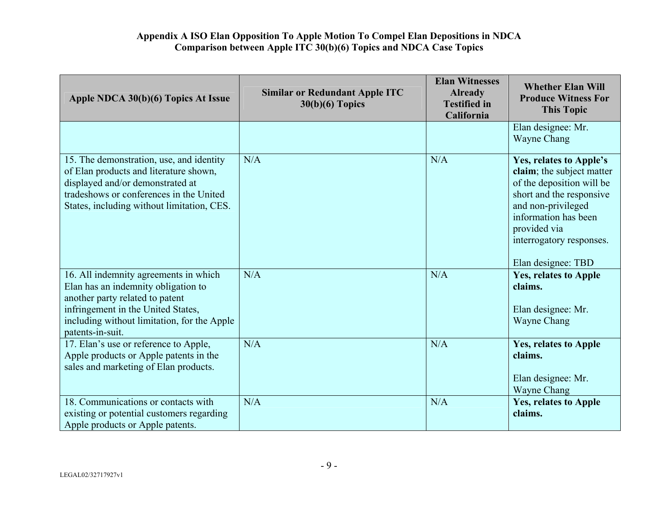| Apple NDCA 30(b)(6) Topics At Issue                                                                                                                                                                                      | <b>Similar or Redundant Apple ITC</b><br>$30(b)(6)$ Topics | <b>Elan Witnesses</b><br><b>Already</b><br><b>Testified in</b><br>California | <b>Whether Elan Will</b><br><b>Produce Witness For</b><br><b>This Topic</b>                                                                                                                                                   |
|--------------------------------------------------------------------------------------------------------------------------------------------------------------------------------------------------------------------------|------------------------------------------------------------|------------------------------------------------------------------------------|-------------------------------------------------------------------------------------------------------------------------------------------------------------------------------------------------------------------------------|
|                                                                                                                                                                                                                          |                                                            |                                                                              | Elan designee: Mr.<br>Wayne Chang                                                                                                                                                                                             |
| 15. The demonstration, use, and identity<br>of Elan products and literature shown,<br>displayed and/or demonstrated at<br>tradeshows or conferences in the United<br>States, including without limitation, CES.          | N/A                                                        | N/A                                                                          | Yes, relates to Apple's<br>claim; the subject matter<br>of the deposition will be<br>short and the responsive<br>and non-privileged<br>information has been<br>provided via<br>interrogatory responses.<br>Elan designee: TBD |
| 16. All indemnity agreements in which<br>Elan has an indemnity obligation to<br>another party related to patent<br>infringement in the United States,<br>including without limitation, for the Apple<br>patents-in-suit. | N/A                                                        | N/A                                                                          | <b>Yes, relates to Apple</b><br>claims.<br>Elan designee: Mr.<br>Wayne Chang                                                                                                                                                  |
| 17. Elan's use or reference to Apple,<br>Apple products or Apple patents in the<br>sales and marketing of Elan products.                                                                                                 | N/A                                                        | N/A                                                                          | <b>Yes, relates to Apple</b><br>claims.<br>Elan designee: Mr.<br>Wayne Chang                                                                                                                                                  |
| 18. Communications or contacts with<br>existing or potential customers regarding<br>Apple products or Apple patents.                                                                                                     | N/A                                                        | N/A                                                                          | Yes, relates to Apple<br>claims.                                                                                                                                                                                              |